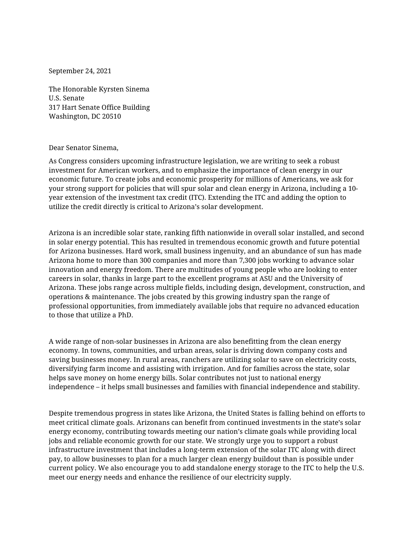September 24, 2021

The Honorable Kyrsten Sinema U.S. Senate 317 Hart Senate Office Building Washington, DC 20510

## Dear Senator Sinema,

As Congress considers upcoming infrastructure legislation, we are writing to seek a robust investment for American workers, and to emphasize the importance of clean energy in our economic future. To create jobs and economic prosperity for millions of Americans, we ask for your strong support for policies that will spur solar and clean energy in Arizona, including a 10 year extension of the investment tax credit (ITC). Extending the ITC and adding the option to utilize the credit directly is critical to Arizona's solar development.

Arizona is an incredible solar state, ranking fifth nationwide in overall solar installed, and second in solar energy potential. This has resulted in tremendous economic growth and future potential for Arizona businesses. Hard work, small business ingenuity, and an abundance of sun has made Arizona home to more than 300 companies and more than 7,300 jobs working to advance solar innovation and energy freedom. There are multitudes of young people who are looking to enter careers in solar, thanks in large part to the excellent programs at ASU and the University of Arizona. These jobs range across multiple fields, including design, development, construction, and operations & maintenance. The jobs created by this growing industry span the range of professional opportunities, from immediately available jobs that require no advanced education to those that utilize a PhD.

A wide range of non-solar businesses in Arizona are also benefitting from the clean energy economy. In towns, communities, and urban areas, solar is driving down company costs and saving businesses money. In rural areas, ranchers are utilizing solar to save on electricity costs, diversifying farm income and assisting with irrigation. And for families across the state, solar helps save money on home energy bills. Solar contributes not just to national energy independence – it helps small businesses and families with financial independence and stability.

Despite tremendous progress in states like Arizona, the United States is falling behind on efforts to meet critical climate goals. Arizonans can benefit from continued investments in the state's solar energy economy, contributing towards meeting our nation's climate goals while providing local jobs and reliable economic growth for our state. We strongly urge you to support a robust infrastructure investment that includes a long-term extension of the solar ITC along with direct pay, to allow businesses to plan for a much larger clean energy buildout than is possible under current policy. We also encourage you to add standalone energy storage to the ITC to help the U.S. meet our energy needs and enhance the resilience of our electricity supply.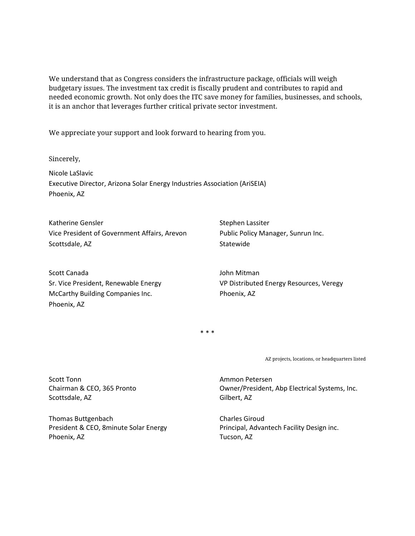We understand that as Congress considers the infrastructure package, officials will weigh budgetary issues. The investment tax credit is fiscally prudent and contributes to rapid and needed economic growth. Not only does the ITC save money for families, businesses, and schools, it is an anchor that leverages further critical private sector investment.

We appreciate your support and look forward to hearing from you.

Sincerely,

Nicole LaSlavic Executive Director, Arizona Solar Energy Industries Association (AriSEIA) Phoenix, AZ

Katherine Gensler Vice President of Government Affairs, Arevon Scottsdale, AZ

Scott Canada Sr. Vice President, Renewable Energy McCarthy Building Companies Inc. Phoenix, AZ

Stephen Lassiter Public Policy Manager, Sunrun Inc. Statewide

John Mitman VP Distributed Energy Resources, Veregy Phoenix, AZ

\* \* \*

AZ projects, locations, or headquarters listed

Scott Tonn Chairman & CEO, 365 Pronto Scottsdale, AZ

Thomas Buttgenbach President & CEO, 8minute Solar Energy Phoenix, AZ

Ammon Petersen Owner/President, Abp Electrical Systems, Inc. Gilbert, AZ

Charles Giroud Principal, Advantech Facility Design inc. Tucson, AZ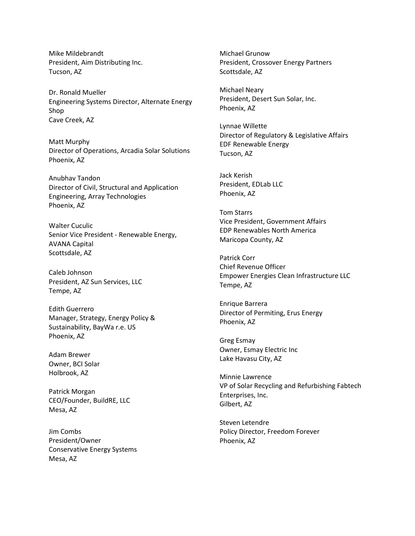Mike Mildebrandt President, Aim Distributing Inc. Tucson, AZ

Dr. Ronald Mueller Engineering Systems Director, Alternate Energy Shop Cave Creek, AZ

Matt Murphy Director of Operations, Arcadia Solar Solutions Phoenix, AZ

Anubhav Tandon Director of Civil, Structural and Application Engineering, Array Technologies Phoenix, AZ

Walter Cuculic Senior Vice President - Renewable Energy, AVANA Capital Scottsdale, AZ

Caleb Johnson President, AZ Sun Services, LLC Tempe, AZ

Edith Guerrero Manager, Strategy, Energy Policy & Sustainability, BayWa r.e. US Phoenix, AZ

Adam Brewer Owner, BCI Solar Holbrook, AZ

Patrick Morgan CEO/Founder, BuildRE, LLC Mesa, AZ

Jim Combs President/Owner Conservative Energy Systems Mesa, AZ

Michael Grunow President, Crossover Energy Partners Scottsdale, AZ

Michael Neary President, Desert Sun Solar, Inc. Phoenix, AZ

Lynnae Willette Director of Regulatory & Legislative Affairs EDF Renewable Energy Tucson, AZ

Jack Kerish President, EDLab LLC Phoenix, AZ

Tom Starrs Vice President, Government Affairs EDP Renewables North America Maricopa County, AZ

Patrick Corr Chief Revenue Officer Empower Energies Clean Infrastructure LLC Tempe, AZ

Enrique Barrera Director of Permiting, Erus Energy Phoenix, AZ

Greg Esmay Owner, Esmay Electric Inc Lake Havasu City, AZ

Minnie Lawrence VP of Solar Recycling and Refurbishing Fabtech Enterprises, Inc. Gilbert, AZ

Steven Letendre Policy Director, Freedom Forever Phoenix, AZ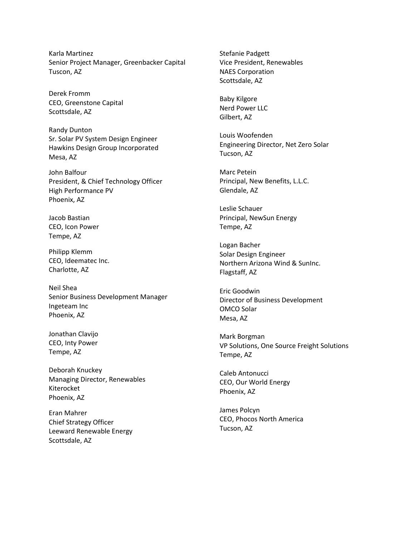Karla Martinez Senior Project Manager, Greenbacker Capital Tuscon, AZ

Derek Fromm CEO, Greenstone Capital Scottsdale, AZ

Randy Dunton Sr. Solar PV System Design Engineer Hawkins Design Group Incorporated Mesa, AZ

John Balfour President, & Chief Technology Officer High Performance PV Phoenix, AZ

Jacob Bastian CEO, Icon Power Tempe, AZ

Philipp Klemm CEO, Ideematec Inc. Charlotte, AZ

Neil Shea Senior Business Development Manager Ingeteam Inc Phoenix, AZ

Jonathan Clavijo CEO, Inty Power Tempe, AZ

Deborah Knuckey Managing Director, Renewables Kiterocket Phoenix, AZ

Eran Mahrer Chief Strategy Officer Leeward Renewable Energy Scottsdale, AZ

Stefanie Padgett Vice President, Renewables NAES Corporation Scottsdale, AZ

Baby Kilgore Nerd Power LLC Gilbert, AZ

Louis Woofenden Engineering Director, Net Zero Solar Tucson, AZ

Marc Petein Principal, New Benefits, L.L.C. Glendale, AZ

Leslie Schauer Principal, NewSun Energy Tempe, AZ

Logan Bacher Solar Design Engineer Northern Arizona Wind & SunInc. Flagstaff, AZ

Eric Goodwin Director of Business Development OMCO Solar Mesa, AZ

Mark Borgman VP Solutions, One Source Freight Solutions Tempe, AZ

Caleb Antonucci CEO, Our World Energy Phoenix, AZ

James Polcyn CEO, Phocos North America Tucson, AZ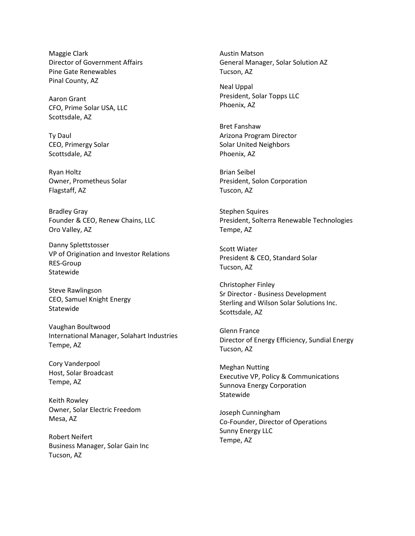Maggie Clark Director of Government Affairs Pine Gate Renewables Pinal County, AZ

Aaron Grant CFO, Prime Solar USA, LLC Scottsdale, AZ

Ty Daul CEO, Primergy Solar Scottsdale, AZ

Ryan Holtz Owner, Prometheus Solar Flagstaff, AZ

Bradley Gray Founder & CEO, Renew Chains, LLC Oro Valley, AZ

Danny Splettstosser VP of Origination and Investor Relations RES-Group Statewide

Steve Rawlingson CEO, Samuel Knight Energy Statewide

Vaughan Boultwood International Manager, Solahart Industries Tempe, AZ

Cory Vanderpool Host, Solar Broadcast Tempe, AZ

Keith Rowley Owner, Solar Electric Freedom Mesa, AZ

Robert Neifert Business Manager, Solar Gain Inc Tucson, AZ

Austin Matson General Manager, Solar Solution AZ Tucson, AZ

Neal Uppal President, Solar Topps LLC Phoenix, AZ

Bret Fanshaw Arizona Program Director Solar United Neighbors Phoenix, AZ

Brian Seibel President, Solon Corporation Tuscon, AZ

Stephen Squires President, Solterra Renewable Technologies Tempe, AZ

Scott Wiater President & CEO, Standard Solar Tucson, AZ

Christopher Finley Sr Director - Business Development Sterling and Wilson Solar Solutions Inc. Scottsdale, AZ

Glenn France Director of Energy Efficiency, Sundial Energy Tucson, AZ

Meghan Nutting Executive VP, Policy & Communications Sunnova Energy Corporation Statewide

Joseph Cunningham Co-Founder, Director of Operations Sunny Energy LLC Tempe, AZ